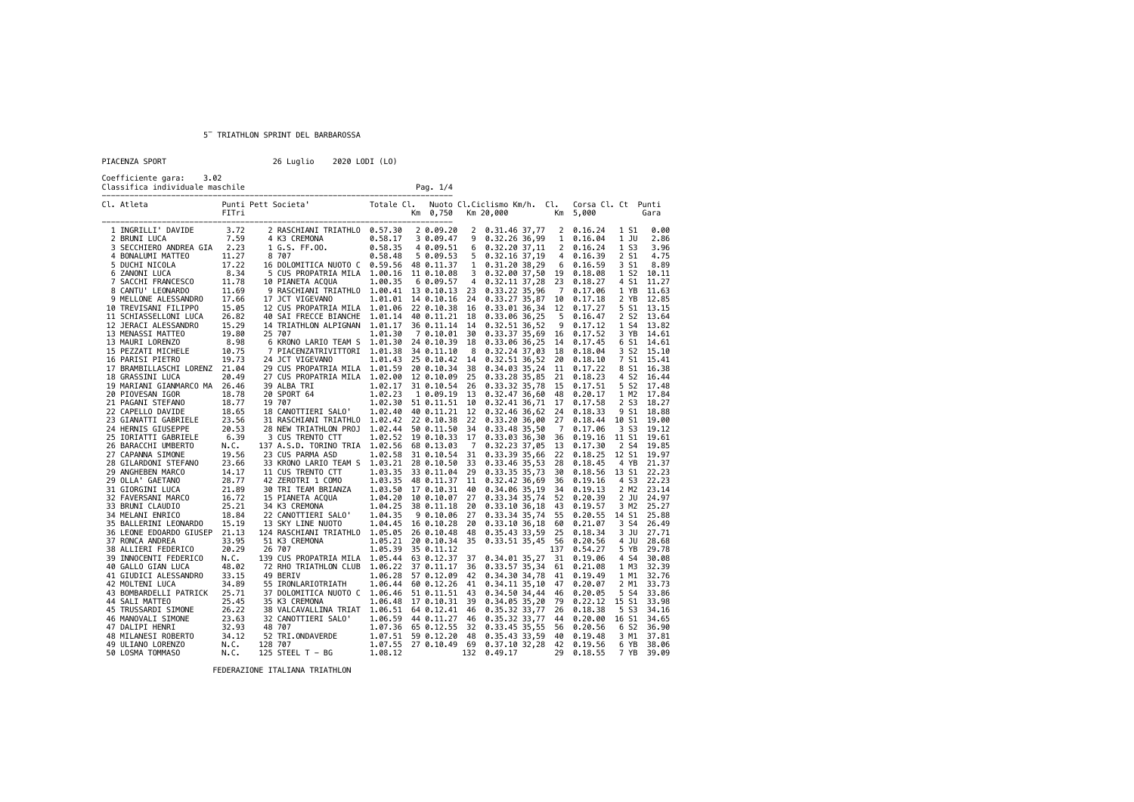PIACENZA SPORT 26 Luglio 2020 LODI (LO)

Coefficiente gara: 3.02<br>Classifica individuale maschile

| coerriciente gara:<br>∠ ت د<br>Classifica individuale maschile |                                                              |                |                                                                                  |                       | Pag. 1/4                |                |                                                                    |                |                    |                  |                          |
|----------------------------------------------------------------|--------------------------------------------------------------|----------------|----------------------------------------------------------------------------------|-----------------------|-------------------------|----------------|--------------------------------------------------------------------|----------------|--------------------|------------------|--------------------------|
|                                                                | Cl. Atleta                                                   | FITri          | Punti Pett Societa' Totale Cl. Nuoto Cl. Ciclismo Km/h. Cl.<br>FITH:             |                       | Km 0,750<br>___________ |                | Km 20,000<br>Km 5,000                                              |                | Corsa Cl. Ct Punti |                  | Gara                     |
|                                                                | 1 INGRILLI' DAVIDE<br>2 BRUNI LUCA                           | 3.72<br>7.59   | 2 RASCHIANI TRIATHLO 0.57.30<br>4 K3 CREMONA                                     | 0.58.17               | 2 0.09.20<br>3 0.09.47  |                | 2 0.31.46 37,77 2 0.16.24<br>$9$ $0.32.26$ 36,99                   |                | 1 0.16.04          | 1 S1<br>1 JU     | 0.00<br>2.86             |
|                                                                | 3 SECCHIERO ANDREA GIA 2.23                                  |                | 1 G.S. FF.00.                                                                    | 0.58.35               | 4 0.09.51               |                | $6$ $0.32.20$ $37,11$                                              |                | $2 \quad 0.16.24$  | 1 S <sub>3</sub> | 3.96                     |
|                                                                | 4 BONALUMI MATTEO                                            | 11.27          | 8 707                                                                            | 0.58.48               | 5 0.09.53               |                | $5 \t 0.32.16 \t 37.19$                                            |                | 4 0.16.39          | 2 S1             | 4.75                     |
|                                                                | 5 DUCHI NICOLA                                               | 17.22          | 16 DOLOMITICA NUOTO C  0.59.56  48  0.11.37                                      |                       |                         |                | $1 \t0.31.2038.296$                                                |                | 0.16.59            | 3 S1             | 8.89                     |
|                                                                | 6 ZANONI LUCA                                                | 8.34           | 5 CUS PROPATRIA MILA 1.00.16                                                     |                       | 11 0.10.08              |                | 3 0.32.00 37,50 19 0.18.08                                         |                |                    | 1 S <sub>2</sub> | 10.11                    |
|                                                                | 7 SACCHI FRANCESCO<br>8 CANTU' LEONARDO                      | 11.78          | 10 PIANETA ACQUA                                                                 | 1.00.35               | 60.09.57                | $\overline{4}$ | 0.32.11 37,28 23 0.18.27                                           |                |                    | 4 S1             | 11.27                    |
|                                                                |                                                              | 11.69          | 9 RASCHIANI TRIATHLO 1.00.41 13 0.10.13 23                                       |                       |                         |                | 0.33.22 35,96                                                      | $\overline{7}$ | 0.17.06            | 1 YB             | 11.63                    |
|                                                                | 9 MELLONE ALESSANDRO                                         | 17.66          | 17 JCT VIGEVANO                                                                  |                       |                         |                | 1.01.01 14 0.10.16 24 0.33.27 35,87 10 0.17.18                     |                |                    | 2 YB             | 12.85                    |
|                                                                | 10 TREVISANI FILIPPO                                         | 15.05          | 12 CUS PROPATRIA MILA 1.01.06 22 0.10.38 16                                      |                       |                         |                | 0.33.01 36,34 12 0.17.27                                           |                |                    |                  | 5 S1 13.15               |
|                                                                | 11 SCHIASSELLONI LUCA                                        | 26.82          | 40 SAI FRECCE BIANCHE 1.01.14                                                    |                       | 40 0.11.21 18           |                | 0.33.06 36,25                                                      |                | 5 0.16.47          | 2 S <sub>2</sub> | 13.64                    |
|                                                                | 12 JERACI ALESSANDRO                                         | 15.29          | 14 TRIATHLON ALPIGNAN 1.01.17                                                    |                       |                         |                | 36 0.11.14 14 0.32.51 36,52                                        |                | 9 0.17.12          | 1 S4             | 13.82                    |
|                                                                | 13 MENASSI MATTEO                                            | 19.80          | 25 707                                                                           | 1.01.30               |                         |                | 7 0.10.01 30 0.33.37 35,69 16 0.17.52                              |                |                    |                  | 3 YB 14.61               |
|                                                                | 13 MAURI LORENZO                                             | 8.98           | 6 KRONO LARIO TEAM S 1.01.30 24 0.10.39 18                                       |                       |                         |                | 0.33.06 36,25 14 0.17.45                                           |                |                    |                  | 6 S1 14.61               |
|                                                                | 15 PEZZATI MICHELE<br>16 PARISI PIETRO                       | 10.75<br>19.73 | 7 PIACENZATRIVITTORI 1.01.38 34 0.11.10                                          |                       |                         |                | 8 0.32.24 37,03 18 0.18.04                                         |                |                    |                  | 3 S2 15.10<br>7 S1 15.41 |
|                                                                | 17 BRAMBILLASCHI LORENZ 21.04                                |                | 24 JCT VIGEVANO<br>29 CUS PROPATRIA MILA 1.01.59 20 0.10.34 38                   | 1.01.43 25 0.10.42 14 |                         |                | 0.32.51 36,52 20 0.18.10<br>0.34.03 35,24 11 0.17.22               |                |                    |                  | 8 S1 16.38               |
|                                                                | 18 GRASSINI LUCA                                             | 20.49          | 27 CUS PROPATRIA MILA 1.02.00 12 0.10.09 25 0.33.28 35,85 21                     |                       |                         |                |                                                                    |                | 0.18.23            |                  | 4 S2 16.44               |
|                                                                | 19 MARIANI GIANMARCO MA 26.46                                |                | 39 ALBA TRI                                                                      |                       |                         |                | 1.02.17 31 0.10.54 26 0.33.32 35,78 15                             |                | 0.17.51            |                  | 5 S2 17.48               |
|                                                                | 20 PIOVESAN IGOR                                             | 18.78          | 20 SPORT 64                                                                      | 1.02.23               |                         |                | 1 0.09.19 13 0.32.47 36,60 48 0.20.17                              |                |                    | 1 M2             | 17.84                    |
|                                                                | 21 PAGANI STEFANO                                            | 18.77          | 19 707                                                                           |                       |                         |                | 1.02.30 51 0.11.51 10 0.32.41 36,71 17 0.17.58                     |                |                    | 2 S <sub>3</sub> | 18.27                    |
|                                                                | 22 CAPELLO DAVIDE                                            | 18.65          | 18 CANOTTIERI SALO'                                                              |                       |                         |                | 1.02.40 40 0.11.21 12 0.32.46 36,62 24 0.18.33                     |                |                    |                  | 9 S1 18.88               |
|                                                                | 23 GIANATTI GABRIELE                                         | 23.56          | 31 RASCHIANI TRIATHLO 1.02.42 22 0.10.38 22 0.33.20 36,00 27 0.18.44 10 S1 19.00 |                       |                         |                |                                                                    |                |                    |                  |                          |
|                                                                | 24 HERNIS GIUSEPPE                                           | 20.53          | 28 NEW TRIATHLON PROJ                                                            | 1.02.44 50 0.11.50    |                         |                | 34 0.33.48 35,50                                                   | $\overline{7}$ | 0.17.06            | 3 S3             | 19.12                    |
|                                                                | 25 IORIATTI GABRIELE                                         | 6.39           | 3 CUS TRENTO CTT                                                                 |                       |                         |                | 1.02.52 19 0.10.33 17 0.33.03 36,30 36 0.19.16                     |                |                    | 11 S1 19.61      |                          |
|                                                                | 26 BARACCHI UMBERTO                                          | N.C.           | 137 A.S.D. TORINO TRIA 1.02.56 68 0.13.03                                        |                       |                         |                | 7 0.32.23 37,05 13 0.17.30                                         |                |                    |                  | 2 S4 19.85               |
|                                                                | 27 CAPANNA SIMONE                                            | 19.56          | 23 CUS PARMA ASD                                                                 |                       |                         |                | 1.02.58 31 0.10.54 31 0.33.39 35,66                                |                | 22 0.18.25         | 12 S1 19.97      |                          |
|                                                                | 28 GILARDONI STEFANO                                         | 23.66          | 33 KRONO LARIO TEAM S  1.03.21  28  0.10.50  33  0.33.46  35,53  28  0.18.45     |                       |                         |                |                                                                    |                |                    |                  | 4 YB 21.37               |
|                                                                | 29 ANGHEBEN MARCO                                            | 14.17          | 11 CUS TRENTO CTT                                                                |                       |                         |                | 1.03.35 33 0.11.04 29 0.33.35 35,73 30 0.18.56                     |                |                    | 13 S1 22.23      |                          |
|                                                                | 29 OLLA' GAETANO                                             | 28.77          | 42 ZEROTRI 1 COMO                                                                |                       |                         |                | 1.03.35 48 0.11.37 11 0.32.42 36,69                                | 36             | 0.19.16            | 4 S <sub>3</sub> | 22.23                    |
|                                                                | $\overline{a}$<br>31 GIORGINI LUCA                           | 21.89          | 30 TRI TEAM BRIANZA                                                              | 1.03.50 17 0.10.31 40 |                         |                | 0.34.06 35,19 34 0.19.13                                           |                |                    |                  | 2 M2 23.14               |
|                                                                | 32 FAVERSANI MARCO                                           | 16.72          | 15 PIANETA ACQUA 1.04.20 10 0.10.07 27 0.33.34 35,74 52 0.20.39                  |                       |                         |                |                                                                    |                |                    |                  | 2 JU 24.97               |
|                                                                | 33 BRUNI CLAUDIO                                             | 25.21          | 34 K3 CREMONA                                                                    | 1.04.25 38 0.11.18 20 |                         |                | 0.33.10 36,18 43 0.19.57                                           |                |                    |                  | 3 M2 25.27               |
|                                                                | 34 MELANI ENRICO                                             | 18.84          | 22 CANOTTIERI SALO'                                                              | 1.04.35               |                         |                | 9 0.10.06 27 0.33.34 35,74 55                                      |                | 0.20.55            | 14 S1 25.88      |                          |
|                                                                | 35 BALLERINI LEONARDO<br>36 LEONE EDOARDO GIUSEP 21.13       | 15.19          | 13 SKY LINE NUOTO<br>124 RASCHIANI TRIATHLO 1.05.05                              | 1.04.45 16 0.10.28    |                         |                | 20 0.33.10 36,18 60 0.21.07                                        |                |                    | 3 S4<br>3 JU     | 26.49<br>27.71           |
|                                                                | 37 RONCA ANDREA                                              | 33.95          | 51 K3 CREMONA                                                                    |                       | 26 0.10.48              | - 48           | 0.35.43 33,59 25<br>1.05.21 20 0.10.34 35 0.33.51 35,45 56 0.20.56 |                | 0.18.34            | 4 JU             | 28.68                    |
|                                                                | 38 ALLIERI FEDERICO                                          | 20.29          | 26 707                                                                           | 1.05.39               | 35 0.11.12              |                |                                                                    |                | 137 0.54.27        | 5 YB             | 29.78                    |
|                                                                | 39 INNOCENTI FEDERICO                                        | N.C.           | 139 CUS PROPATRIA MILA 1.05.44 63 0.12.37 37 0.34.01 35,27 31 0.19.06            |                       |                         |                |                                                                    |                |                    | 4 S4             | 30.08                    |
|                                                                | 40 GALLO GIAN LUCA                                           | 48.02          | 72 RHO TRIATHLON CLUB  1.06.22  37  0.11.17  36  0.33.57  35,34                  |                       |                         |                |                                                                    | 61             | 0.21.08            | 1 M3             | 32.39                    |
|                                                                | 41 GIUDICI ALESSANDRO                                        | 33.15          | 49 BERIV                                                                         | 1.06.28               |                         |                | 57 0.12.09 42 0.34.30 34,78 41 0.19.49                             |                |                    | 1 M1             | 32.76                    |
|                                                                | 42 MOLTENI LUCA                                              | 34.89          | 55 IRONLARIOTRIATH                                                               |                       |                         |                | 1.06.44 60 0.12.26 41 0.34.11 35,10                                |                | 47 0.20.07         | 2 M1             | 33.73                    |
|                                                                | 43 BOMBARDELLI PATRICK                                       | 25.71          | 37 DOLOMITICA NUOTO C 1.06.46 51 0.11.51 43                                      |                       |                         |                | 0.34.50 34,44 46 0.20.05                                           |                |                    | 5 S4             | 33.86                    |
|                                                                | 44 SALI MATTEO                                               | 25.45          | 35 K3 CREMONA                                                                    | 1.06.48 17 0.10.31 39 |                         |                | 0.34.05 35,20 79 0.22.12 15 S1                                     |                |                    |                  | 33.98                    |
|                                                                | 45 TRUSSARDI SIMONE                                          | 26.22          | 38 VALCAVALLINA TRIAT 1.06.51 64 0.12.41 46                                      |                       |                         |                | 0.35.32 33,77 26 0.18.38                                           |                |                    | 5 S3             | 34.16                    |
|                                                                | 45 TRUSSARDI SIMONE<br>46 MANOVALI SIMONE<br>47 DALIPI HENRI | 23.63          | 32 CANOTTIERI SALO'                                                              | 1.06.59 44 0.11.27 46 |                         |                | 0.35.32 33,77 44 0.20.00                                           |                |                    | 16 S1            | 34.65                    |
|                                                                | 47 DALIPI HENRI                                              | 32.93          | 48 707                                                                           |                       |                         |                | 1.07.36 65 0.12.55 32 0.33.45 35,55 56 0.20.56                     |                |                    | 6 S <sub>2</sub> | 36.90                    |
|                                                                | 48 MILANESI ROBERTO                                          | 34.12          | 52 TRI.ONDAVERDE                                                                 | 1.07.51 59 0.12.20 48 |                         |                | 0.35.43 33,59 40 0.19.48                                           |                |                    | 3 M1             | 37.81                    |
|                                                                | 49 ULIANO LORENZO                                            | N.C.           | 128 707                                                                          |                       |                         |                | 1.07.55 27 0.10.49 69 0.37.10 32,28 42 0.19.56                     |                |                    | 6 YB             | 38.06                    |
|                                                                | 50 LOSMA TOMMASO                                             | N.C.           | 125 STEEL T $-$ BG                                                               | 1.08.12               |                         |                | 132 0.49.17                                                        |                | 29 0.18.55         | 7 YB             | 39.09                    |

FEDERAZIONE ITALIANA TRIATHLON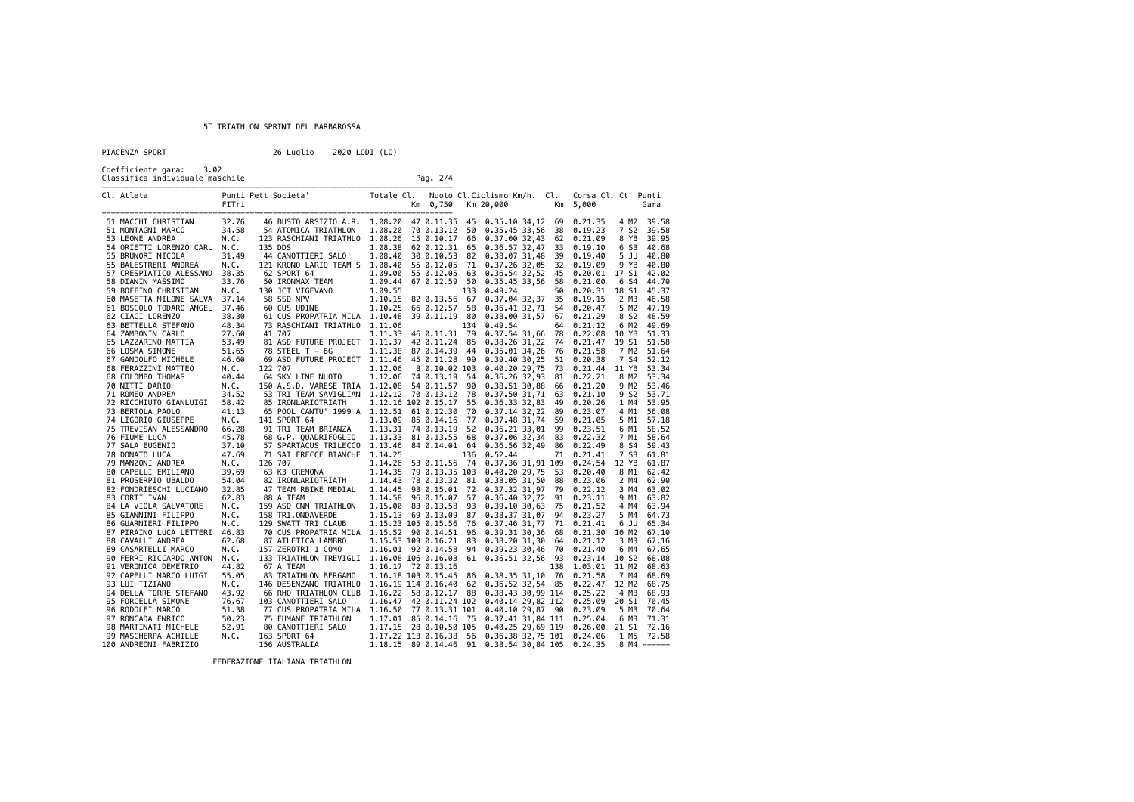| PIACENZA SPORT |  |  |  |  |  |  |
|----------------|--|--|--|--|--|--|
|                |  |  |  |  |  |  |

26 Luglio 2020 LODI (LO)

Coefficiente gara: 3.02 Classifica individuale maschile Pag. 2/4

| Cl. Atleta                       | FITri                       |         | Totale Cl.<br>Punti Pett Societa'                                                                                                                                                                                   |                          | Km 0,750      |      | Nuoto Cl.Ciclismo Km/h. Cl.<br>Km 20,000 | Km  | Corsa Cl. Ct Punti<br>5,000           |       | Gara          |
|----------------------------------|-----------------------------|---------|---------------------------------------------------------------------------------------------------------------------------------------------------------------------------------------------------------------------|--------------------------|---------------|------|------------------------------------------|-----|---------------------------------------|-------|---------------|
| 51 MACCHI CHRISTIAN              | 32.76                       |         | 46 BUSTO ARSIZIO A.R. 1.08.20 47 0.11.35 45 0.35.10 34,12 69 0.21.35                                                                                                                                                |                          |               |      |                                          |     |                                       |       | 4 M2 39.58    |
| 51 MONTAGNI MARCO                | 34.58                       |         | 54 ATOMICA TRIATHLON                                                                                                                                                                                                | 1.08.20 70 0.13.12 50    |               |      | 0.35.45 33,56 38 0.19.23                 |     |                                       | 7 S2  | 39.58         |
| 53 LEONE ANDREA                  | N.C.                        |         | 123 RASCHIANI TRIATHLO 1.08.26 15 0.10.17 66                                                                                                                                                                        |                          |               |      |                                          |     | 0.37.00 32,43 62 0.21.09              | 8 YB  | 39.95         |
| 54 ORIETTI LORENZO CARL N.C.     |                             | 135 DDS |                                                                                                                                                                                                                     | 1.08.38 62 0.12.31 65    |               |      | 0.36.57 32,47 33                         |     | 0.19.10                               | 6 S3  | 40.68         |
| 55 BRUNORI NICOLA                | 31.49                       |         | 44 CANOTTIERI SALO'                                                                                                                                                                                                 | 1.08.40 30 0.10.53 82    |               |      | 0.38.07 31,48 39 0.19.40                 |     |                                       | 5 JU  | 40.80         |
| 55 BALESTRERI ANDREA             | N.C.                        |         | 121 KRONO LARIO TEAM S 1.08.40 55 0.12.05 71                                                                                                                                                                        |                          |               |      | 0.37.26 32,05 32 0.19.09                 |     |                                       | 9 YB  | 40.80         |
| 57 CRESPIATICO ALESSAND 38.35    |                             |         |                                                                                                                                                                                                                     |                          |               |      | 0.36.54 32,52 45                         |     | 0.20.01                               | 17 S1 | 42.02         |
| 58 DIANIN MASSIMO                | 33.76                       |         |                                                                                                                                                                                                                     |                          |               |      | 0.35.45 33,56 58                         |     | 0.21.00                               | 6 S4  | 44.70         |
|                                  |                             |         | 1.09.00 55 0.12.05 63<br>62 SPORT 64 1.09.00 55 0.12.05 63<br>50 IRONMAX TEAM 1.09.44 67 0.12.59 50<br>58 SSD NPV 1.10.15 82 0.13.56 67<br>60 CUS UDINE 1.10.25 66 0.12.57 58<br>60 CUS UDINE 1.10.25 66 0.12.57 58 |                          |               |      |                                          | 50  |                                       | 18 S1 |               |
| 59 BOFFINO CHRISTIAN             | N.C.                        |         |                                                                                                                                                                                                                     |                          |               |      | 0.49.24                                  |     | 0.20.31                               |       | 45.37         |
| 60 MASETTA MILONE SALVA 37.14    |                             |         |                                                                                                                                                                                                                     |                          |               |      | 0.37.04 32,37 35 0.19.15                 |     |                                       | 2 M3  | 46.58         |
| 61 BOSCOLO TODARO ANGEL 37.46    |                             |         |                                                                                                                                                                                                                     |                          |               |      | 0.36.41 32,71 54                         |     | 0.20.47                               | 5 M2  | 47.19         |
| 62 CIACI LORENZO                 | 38.30                       |         | 61 CUS PROPATRIA MILA 1.10.48 39 0.11.19 80                                                                                                                                                                         |                          |               |      |                                          |     | 0.38.00 31,57 67 0.21.29              | 8 S2  | 48.59         |
| 63 BETTELLA STEFANO              | 48.34                       |         | 73 RASCHIANI TRIATHLO 1.11.06                                                                                                                                                                                       |                          |               | 134  | 0.49.54                                  | 64  | 0.21.12                               | 6 M2  | 49.69         |
| 64 ZAMBONIN CARLO                | 27.60                       |         | 41 707                                                                                                                                                                                                              | 1.11.33 46 0.11.31 79    |               |      |                                          |     | 0.37.54 31,66 78 0.22.08              | 10 YB | 51.33         |
| 65 LAZZARINO MATTIA              | $\frac{27}{53.49}$<br>51.65 |         | 81 ASD FUTURE PROJECT 1.11.37 42 0.11.24 85                                                                                                                                                                         |                          |               |      |                                          |     | 0.38.26 31,22 74 0.21.47              | 19 S1 | 51.58         |
| 66 LOSMA SIMONE                  |                             |         | 78 STEEL T - BG                                                                                                                                                                                                     | 1.11.38 87 0.14.39 44    |               |      |                                          |     | 0.35.01 34,26 76 0.21.58              | 7 M2  | 51.64         |
| 67 GANDOLFO MICHELE              | 46.60                       |         | 69 ASD FUTURE PROJECT 1.11.46 45 0.11.28 99                                                                                                                                                                         |                          |               |      |                                          |     | 0.39.40 30,25 51 0.20.38              | 7 S4  | 52.12         |
| 68 FERAZZINI MATTEO              | N.C.                        | 122 707 |                                                                                                                                                                                                                     | 1.12.06                  | 8 0.10.02 103 |      | $0.40.20$ 29,75                          |     | 73 0.21.44                            | 11 YB | 53.34         |
| 68 COLOMBO THOMAS                | 40.44                       |         | 64 SKY LINE NUOTO                                                                                                                                                                                                   | 1.12.06 74 0.13.19 54    |               |      |                                          |     | 0.36.26 32,93 81 0.22.21              | 8 M2  | 53.34         |
| 70 NITTI DARIO                   | N.C.                        |         | 150 A.S.D. VARESE TRIA 1.12.08 54 0.11.57 90                                                                                                                                                                        |                          |               |      |                                          |     | 0.38.51 30,88 66 0.21.20              |       | 9 M2 53.46    |
| 71 ROMEO ANDREA                  | 34.52                       |         | 53 TRI TEAM SAVIGLIAN 1.12.12 70 0.13.12 78                                                                                                                                                                         |                          |               |      |                                          |     | 0.37.50 31,71 63 0.21.10              | 9 S2  | 53.71         |
| 72 RICCHIUTO GIANLUIGI 58.42     |                             |         | 85 IRONLARIOTRIATH                                                                                                                                                                                                  | 1.12.16 102 0.15.17 55   |               |      | 0.36.33 32,83 49                         |     | 0.20.26                               | 1 M4  | 53.95         |
| 73 BERTOLA PAOLO                 | 41.13                       |         | 65 POOL CANTU' 1999 A 1.12.51 61 0.12.30                                                                                                                                                                            |                          |               | - 70 |                                          |     | 0.37.14 32,22 89 0.23.07              | 4 M1  | 56.08         |
| 74 LIGORIO GIUSEPPE              | N.C.                        |         | 141 SPORT 64                                                                                                                                                                                                        | 1.13.09 85 0.14.16 77    |               |      |                                          |     | 0.37.48 31,74 59 0.21.05              | 5 M1  | 57.18         |
| 75 TREVISAN ALESSANDRO           | 66.28                       |         | 91 TRI TEAM BRIANZA                                                                                                                                                                                                 | 1.13.31 74 0.13.19 52    |               |      |                                          |     | 0.36.21 33,01 99 0.23.51              | 6 M1  | 58.52         |
| 76 FIUME LUCA                    | 45.78                       |         | 68 G.P. QUADRIFOGLIO 1.13.33 81 0.13.55 68                                                                                                                                                                          |                          |               |      |                                          |     | 0.37.06 32,34 83 0.22.32              | 7 M1  | 58.64         |
| 77 SALA EUGENIO                  | 37.10                       |         | 57 SPARTACUS TRILECCO 1.13.46 84 0.14.01 64                                                                                                                                                                         |                          |               |      |                                          |     | 0.36.56 32,49 86 0.22.49              | 8 S4  | 59.43         |
| 37.10<br>47.69<br>78 DONATO LUCA |                             |         | 71 SAI FRECCE BIANCHE 1.14.25                                                                                                                                                                                       |                          |               | 136  | 0.52.44                                  |     | 71 0.21.41                            | 7 S3  | 61.81         |
| 79 MANZONI ANDREA                | N.C.                        | 126 707 |                                                                                                                                                                                                                     | 1.14.26 53 0.11.56 74    |               |      |                                          |     | 0.37.36 31,91 109 0.24.54             |       | 12 YB 61.87   |
| 80 CAPELLI EMILIANO              | 39.69                       |         |                                                                                                                                                                                                                     |                          |               |      | 0.40.20 29,75 53                         |     | 0.20.40                               |       | 8 M1 62.42    |
| 81 PROSERPIO UBALDO              | 54.04                       |         |                                                                                                                                                                                                                     |                          |               |      |                                          |     | 0.38.05 31,50 88 0.23.06              | 2 M4  | 62.90         |
| 82 FONDRIESCHI LUCIANO           | 32.85                       |         | 47 TEAM RBIKE MEDIAL 1.14.45 93 0.15.01 72                                                                                                                                                                          |                          |               |      |                                          |     | 0.37.32 31,97 79 0.22.12              | 3 M4  | 63.02         |
| 83 CORTI IVAN                    | 62.83                       |         | 88 A TEAM                                                                                                                                                                                                           | 1.14.58 96 0.15.07 57    |               |      |                                          |     | 0.36.40 32,72 91 0.23.11              |       | 9 M1 63.82    |
| 84 LA VIOLA SALVATORE            | N.C.                        |         | 159 ASD CNM TRIATHLON  1.15.00  83  0.13.58  93                                                                                                                                                                     |                          |               |      |                                          |     | 0.39.10 30,63 75 0.21.52              | 4 M4  | 63.94         |
| 85 GIANNINI FILIPPO              | N.C.                        |         | 158 TRI.ONDAVERDE<br>129 SWATT TRI CLAUB                                                                                                                                                                            | 1.15.13 69 0.13.09 87    |               |      |                                          |     | 0.38.37 31,07 94 0.23.27              | 5 M4  | 64.73         |
| 86 GUARNIERI FILIPPO             | N.C.                        |         |                                                                                                                                                                                                                     | 1.15.23 105 0.15.56      |               | - 76 |                                          |     | 0.37.46 31,77 71 0.21.41              | 6 JU  | 65.34         |
| 87 PIRAINO LUCA LETTERI 46.83    |                             |         | 70 CUS PROPATRIA MILA 1.15.52 90 0.14.51 96                                                                                                                                                                         |                          |               |      | 0.39.31 30,36 68                         |     | 0.21.30                               | 10 M2 | 67.10         |
| 88 CAVALLI ANDREA                | 62.68                       |         | 87 ATLETICA LAMBRO                                                                                                                                                                                                  | 1.15.53 109 0.16.21 83   |               |      |                                          |     | 0.38.20 31,30 64 0.21.12              | 3 M3  | 67.16         |
| 89 CASARTELLI MARCO              | N.C.                        |         | 157 ZEROTRI 1 COMO                                                                                                                                                                                                  | 1.16.01 92 0.14.58 94    |               |      |                                          |     | 0.39.23 30,46 70 0.21.40              |       | 6 M4 67.65    |
| 90 FERRI RICCARDO ANTON N.C.     |                             |         | 133 TRIATHLON TREVIGLI 1.16.08 106 0.16.03 61 0.36.51 32,56 93                                                                                                                                                      |                          |               |      |                                          |     | 0.23.14                               | 10 S2 | 68.08         |
| 91 VERONICA DEMETRIO             | 44.82                       |         | 67 A TEAM                                                                                                                                                                                                           | 1.16.17 72 0.13.16       |               |      |                                          | 138 | 1.03.01                               | 11 M2 | 68.63         |
| 92 CAPELLI MARCO LUIGI           | 55.05                       |         | 83 TRIATHLON BERGAMO  1.16.18 103  0.15.45  86  0.38.35  31,10  76                                                                                                                                                  |                          |               |      |                                          |     | 0.21.58                               | 7 M4  | 68.69         |
| 93 LUI TIZIANO                   | N.C.                        |         | 146 DESENZANO TRIATHLO 1.16.19 114 0.16.40 62                                                                                                                                                                       |                          |               |      |                                          |     | 0.36.52 32,54 85 0.22.47 12 M2        |       | 68.75         |
| 94 DELLA TORRE STEFANO           | 43.92                       |         | 66 RHO TRIATHLON CLUB 1.16.22 58 0.12.17 88                                                                                                                                                                         |                          |               |      | 0.38.43 30,99 114                        |     | 0.25.22                               | 4 M3  | 68.93         |
| 95 FORCELLA SIMONE               | 76.67                       |         | 103 CANOTTIERI SALO'                                                                                                                                                                                                | 1.16.47 42 0.11.24 102   |               |      | 0.40.14 29,82 112                        |     | 0.25.09                               | 20 S1 | 70.45         |
| 96 RODOLFI MARCO                 | 51.38                       |         | 77 CUS PROPATRIA MILA 1.16.50 77 0.13.31 101                                                                                                                                                                        |                          |               |      | 0.40.10 29,87 90                         |     | 0.23.09                               | 5 M3  | 70.64         |
| 97 RONCADA ENRICO                | 50.23                       |         | 75 FUMANE TRIATHLON                                                                                                                                                                                                 | 1.17.01 85 0.14.16 75    |               |      |                                          |     | 0.37.41 31,84 111 0.25.04             | 6 M3  | 71.31         |
| 98 MARTINATI MICHELE             | 52.91                       |         | 80 CANOTTIERI SALO' 1.17.15 28 0.10.50 105                                                                                                                                                                          |                          |               |      |                                          |     | 0.40.25 29,69 119 0.26.00 21 S1 72.16 |       |               |
| 99 MASCHERPA ACHILLE             | N.C.                        |         | 163 SPORT 64                                                                                                                                                                                                        | $1.17.22$ 113 0.16.38 56 |               |      |                                          |     | 0.36.38 32,75 101 0.24.06             |       | 1 M5 72.58    |
| 100 ANDREONI FABRIZIO            |                             |         | 156 AUSTRALIA                                                                                                                                                                                                       | 1.18.15 89 0.14.46       |               | 91   | 0.38.54 30,84 105 0.24.35                |     |                                       |       | $8$ M4 ------ |
|                                  |                             |         |                                                                                                                                                                                                                     |                          |               |      |                                          |     |                                       |       |               |

FEDERAZIONE ITALIANA TRIATHLON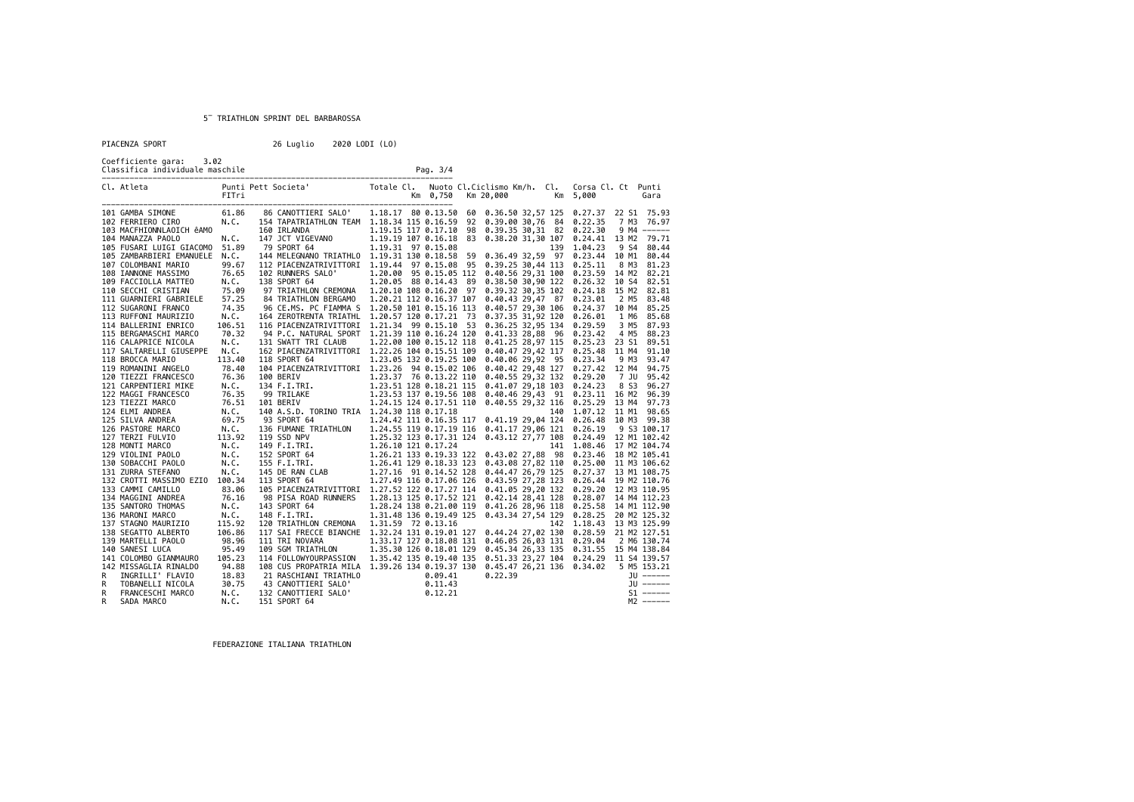|  |  |  | PTACENZA SPORT |  |  |  |
|--|--|--|----------------|--|--|--|
|  |  |  |                |  |  |  |
|  |  |  |                |  |  |  |

| PIACENZA SPORT                                                                                                                                                                                                                                                                                                                                                                                                                                                                                                                                                                                                                                                                                                                                                                                                                                                           |                                                                                                                                                                                    | 26 Luglio                                                                                                                                                                                                | 2020 LODI (LO)                                                                                                                                                                                                                                                                                                                                                                                                                                                                                                                                                                                                                                                                                                                                                                                                                                                                                                                                                                                                                                                                                                                                                                                                                                                                                             |                                                                                                                                                                                                                                                                                                                                                                                                                                                                                                                                                       |                                                                                                                                                                                                                                                                                                                                                                                                                                                                                                                                                                |
|--------------------------------------------------------------------------------------------------------------------------------------------------------------------------------------------------------------------------------------------------------------------------------------------------------------------------------------------------------------------------------------------------------------------------------------------------------------------------------------------------------------------------------------------------------------------------------------------------------------------------------------------------------------------------------------------------------------------------------------------------------------------------------------------------------------------------------------------------------------------------|------------------------------------------------------------------------------------------------------------------------------------------------------------------------------------|----------------------------------------------------------------------------------------------------------------------------------------------------------------------------------------------------------|------------------------------------------------------------------------------------------------------------------------------------------------------------------------------------------------------------------------------------------------------------------------------------------------------------------------------------------------------------------------------------------------------------------------------------------------------------------------------------------------------------------------------------------------------------------------------------------------------------------------------------------------------------------------------------------------------------------------------------------------------------------------------------------------------------------------------------------------------------------------------------------------------------------------------------------------------------------------------------------------------------------------------------------------------------------------------------------------------------------------------------------------------------------------------------------------------------------------------------------------------------------------------------------------------------|-------------------------------------------------------------------------------------------------------------------------------------------------------------------------------------------------------------------------------------------------------------------------------------------------------------------------------------------------------------------------------------------------------------------------------------------------------------------------------------------------------------------------------------------------------|----------------------------------------------------------------------------------------------------------------------------------------------------------------------------------------------------------------------------------------------------------------------------------------------------------------------------------------------------------------------------------------------------------------------------------------------------------------------------------------------------------------------------------------------------------------|
| Coefficiente gara: 3.02                                                                                                                                                                                                                                                                                                                                                                                                                                                                                                                                                                                                                                                                                                                                                                                                                                                  |                                                                                                                                                                                    |                                                                                                                                                                                                          | Pag. 3/4                                                                                                                                                                                                                                                                                                                                                                                                                                                                                                                                                                                                                                                                                                                                                                                                                                                                                                                                                                                                                                                                                                                                                                                                                                                                                                   |                                                                                                                                                                                                                                                                                                                                                                                                                                                                                                                                                       |                                                                                                                                                                                                                                                                                                                                                                                                                                                                                                                                                                |
| Cl. Atleta                                                                                                                                                                                                                                                                                                                                                                                                                                                                                                                                                                                                                                                                                                                                                                                                                                                               |                                                                                                                                                                                    |                                                                                                                                                                                                          | Km 0,750                                                                                                                                                                                                                                                                                                                                                                                                                                                                                                                                                                                                                                                                                                                                                                                                                                                                                                                                                                                                                                                                                                                                                                                                                                                                                                   | Km 20,000                                                                                                                                                                                                                                                                                                                                                                                                                                                                                                                                             | Nuoto Cl.Ciclismo Km/h. Cl. Corsa Cl. Ct Punti<br>Km 5,000<br>Gara                                                                                                                                                                                                                                                                                                                                                                                                                                                                                             |
| 101 GAMBA SIMONE<br>102 FERRIERO CIRO<br>103 MACFHIONNLAOICH êAMO<br>104 MANAZZA PAOLO<br>105 FUSARI LUIGI GIACOMO 51.89<br>105 ZAMBARBIERI EMANUELE N.C.<br>107 COLOMBANI MARIO<br>108 IANNONE MASSIMO<br>109 FACCIOLLA MATTEO<br>110 SECCHI CRISTIAN<br>111 GUARNIERI GABRIELE<br>112 SUGARONI FRANCO<br>113 RUFFONI MAURIZIO<br>114 BALLERINI ENRICO<br>115 BERGAMASCHI MARCO<br>116 CALAPRICE NICOLA<br>117 SALTARELLI GIUSEPPE<br>118 BROCCA MARIO<br>119 ROMANINI ANGELO<br>120 TIEZZI FRANCESCO<br>121 CARPENTIERI MIKE<br>122 MAGGI FRANCESCO<br>122 MANUA : THE TRANSPORT (1972)<br>124 ELMI ANDREA (1975)<br>125 SILVA ANDREA (1975)<br>126 PASTORE MARCO (1975)<br>127 TERZI FULVIO (113.92)<br>128 MONTI MARCO (113.92)<br>128 MONTI MARCO (113.92)<br>128 MONTI MARCO (113.92)<br>130 SOBACCHI PAOLO<br>131 ZURRA STEFANO<br>132 CROTTI MASSIMO EZIO 100.34 | 61.86<br>N.C.<br>N.C.<br>99.67<br>76.65<br>N.C.<br>75.09<br>57.25<br>74.35<br>N.C.<br>106.51<br>70.32<br>N.C.<br>N.C.<br>113,40<br>78.40<br>76.36<br>N.C.<br>76.35<br>N.C.<br>N.C. | 86 CANOTTIERI SALO'<br>160 IRLANDA<br>147 JCT VIGEVANO<br>ANO<br>79 SPORT 64<br>102 RUNNERS SALO'<br>138 SPORT 64<br>97 TRIATHLON CREMONA<br>84 TRIATHLON BERGAMO<br>131 SWATT TRI CLAUB<br>118 SPORT 64 | 1.18.17 80 0.13.50<br>154 TAPATRIATHLON TEAM  1.18.34 115 0.16.59<br>1.19.15 117 0.17.10<br>1.19.19 107 0.16.18<br>1.19.31 97 0.15.08<br>144 MELEGNANO TRIATHLO 1.19.31 130 0.18.58<br>112 PIACENZATRIVITTORI 1.19.44 97 0.15.08 95 0.39.25 30,44 113 0.25.11<br>1.20.00 95 0.15.05 112<br>1.20.05 88 0.14.43 89<br>1.20.10 108 0.16.20 97<br>1.20.21 112 0.16.37 107<br>96 CE.MS. PC FIAMMA S 1.20.50 101 0.15.16 113<br>164 ZEROTRENTA TRIATHL  1.20.57 120 0.17.21 73<br>116 PIACENZATRIVITTORI 1.21.34 99 0.15.10 53<br>94 P.C. NATURAL SPORT 1.21.39 110 0.16.24 120<br>1.22.00 100 0.15.12 118<br>162 PIACENZATRIVITTORI 1.22.26 104 0.15.51 109<br>1.23.05 132 0.19.25 100<br>104 PIACENZATRIVITTORI 1.23.26 94 0.15.02 106<br>100 BERIV 1.23.37 76 0.13.22 110<br>134 F.I.TRI. 1.23.55 128 0.18.21 115<br>139 TRILAKE 1.23.55 137 0.19.56 108<br>109 TRILAKE 1.24.15 124 0.17.51 110<br>140 A.S.D. TORINO TRIA 1.24.30 118 0.17.18<br>93 SPORT 64 1.24.42 111 0.16.35 117<br>136 FUMANE TRIATHLON 1.24.55 119 0.17.19 116<br>1.24.42 111 0.16.35 117<br>1.24.33 119 0.1/19 110 0.41.1/ 29,06 121 0.26.19 9 S3 100.17<br>19 SS 100.17<br>119 SS 100.17 1108 0.43.12 27,77 108 0.24.49 12 M1 102.42<br>125 F.I.TRI. 1.26.21 133 0.19.33 122 0.43.02 27,88 98 0.23.46 13 M2 102.42<br>155 F.I.TRI. 1. | 92 0.39.00 30,76 84 0.22.35<br>98 0.39.35 30,31 82 0.22.30<br>83 0.38.20 31,30 107<br>59 0.36.49 32,59 97 0.23.44<br>0.40.56 29,31 100 0.23.59<br>0.38.50 30,90 122 0.26.32<br>0.39.32 30,35 102<br>0.40.43 29,47 87 0.23.01<br>0.40.57 29,30 106 0.24.37<br>0.37.35 31,92 120<br>0.36.25 32,95 134 0.29.59<br>0.41.33 28,88 96 0.23.42<br>0.40.47 29.42 117 0.25.48<br>0.40.06 29,92 95 0.23.34<br>0.40.55 29,32 132 0.29.20<br>0.41.07 29,18 103 0.24.23<br>$0.40.55$ 29,32 116 $0.25.29$<br>0.41.19 29,04 124 0.26.48<br>0.41.17 29,06 121 0.26.19 | 60 0.36.50 32,57 125 0.27.37 22 S1 75.93<br>7 M3 76.97<br>9 M4 ------<br>0.24.41 13 M2 79.71<br>139 1.04.23<br>9 S4 80.44<br>10 M1 80.44<br>8 M3 81.23<br>14 M2 82.21<br>10 S4 82.51<br>15 M2 82.81<br>0.24.18<br>2 M5 83.48<br>10 M4 85.25<br>1 M6 85.68<br>0.26.01<br>3 M5 87.93<br>4 M5 88.23<br>0.41.25 28,97 115 0.25.23 23 S1 89.51<br>11 M4 91.10<br>9 M3 93.47<br>0.40.42 29,48 127 0.27.42 12 M4 94.75<br>7 JU 95.42<br>8 S3 96.27<br>0.40.46 29,43 91 0.23.11 16 M2 96.39<br>13 M4<br>97.73<br>140 1.07.12 11 M1 98.65<br>10 M3 99.38<br>9 S3 100.17 |
| 133 CAMMI CAMILLO<br>134 MAGGINI ANDREA<br>135 SANTORO THOMAS<br>136 MARONI MARCO<br>137 STAGNO MAURIZIO<br>138 SEGATTO ALBERTO<br>139 MARTELLI PAOLO<br>140 SANESI LUCA<br>141 COLOMBO GIANMAURO<br>142 MISSAGLIA RINALDO<br>R<br>INGRILLI' FLAVIO<br>R<br>TOBANELLI NICOLA<br>R<br>FRANCESCHI MARCO<br>R<br>SADA MARCO                                                                                                                                                                                                                                                                                                                                                                                                                                                                                                                                                 | 83.06<br>76.16<br>N.C.<br>N.C.<br>115.92<br>106.86<br>98.96<br>95.49<br>105.23<br>94.88<br>18.83<br>30.75<br>N.C.<br>N.C.                                                          | 98 PISA ROAD RUNNERS<br>143 SPORT 64<br>148 F.I.TRI.<br>120 TRIATHLON CREMONA<br>111 TRI NOVARA<br>109 SGM TRIATHLON<br>114 FOLLOWYOURPASSION<br>132 CANOTTIERI SALO'<br>151 SPORT 64                    | 105 PIACENZATRIVITTORI 1.27.52 122 0.17.27 114<br>1.28.13 125 0.17.52 121<br>1.28.24 138 0.21.00 119<br>1.31.48 136 0.19.49 125<br>1.31.59 72 0.13.16<br>117 SAI FRECCE BIANCHE 1.32.24 131 0.19.01 127 0.44.24 27,02 130 0.28.59<br>1.33.17 127 0.18.08 131 0.46.05 26,03 131 0.29.04<br>1.35.30 126 0.18.01 129<br>1.35.42 135 0.19.40 135<br>108 CUS PROPATRIA MILA 1.39.26 134 0.19.37 130 0.45.47 26,21 136 0.34.02 5 M5 153.21                                                                                                                                                                                                                                                                                                                                                                                                                                                                                                                                                                                                                                                                                                                                                                                                                                                                       | 0.41.26 28,96 118 0.25.58<br>0.43.34 27,54 129 0.28.25<br>0.22.39                                                                                                                                                                                                                                                                                                                                                                                                                                                                                     | 0.41.05 29,20 132 0.29.20 12 M3 110.95<br>0.42.14 28,41 128  0.28.07  14  M4  112.23<br>14 M1 112.90<br>20 M2 125.32<br>142 1.18.43 13 M3 125.99<br>21 M2 127.51<br>2 M6 130.74<br>0.45.34 26,33 135  0.31.55  15  M4  138.84<br>0.51.33 23,27 104 0.24.29 11 54 139.57<br>$JU$ ------<br>$JU$ ------<br>$51$ ------<br>$M2$ ------                                                                                                                                                                                                                            |

FEDERAZIONE ITALIANA TRIATHLON